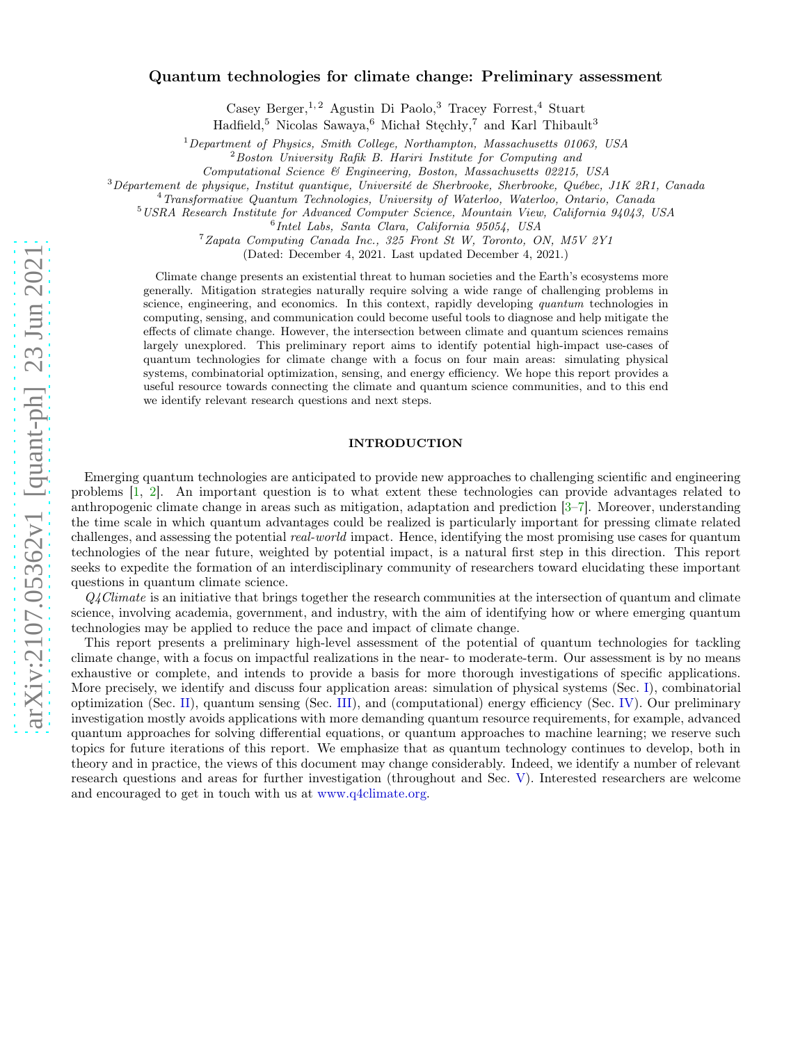# arXiv:2107.05362v1 [quant-ph] 23 Jun 2021 [arXiv:2107.05362v1 \[quant-ph\] 23 Jun 2021](http://arxiv.org/abs/2107.05362v1)

# Quantum technologies for climate change: Preliminary assessment

Casey Berger,<sup>1,2</sup> Agustin Di Paolo,<sup>3</sup> Tracey Forrest,<sup>4</sup> Stuart

Hadfield,<sup>5</sup> Nicolas Sawaya,<sup>6</sup> Michał Stechły,<sup>7</sup> and Karl Thibault<sup>3</sup>

<sup>1</sup>Department of Physics, Smith College, Northampton, Massachusetts 01063, USA

 $2$ Boston University Rafik B. Hariri Institute for Computing and

Computational Science & Engineering, Boston, Massachusetts 02215, USA

<sup>3</sup>Département de physique, Institut quantique, Université de Sherbrooke, Sherbrooke, Québec, J1K 2R1, Canada

<sup>4</sup>Transformative Quantum Technologies, University of Waterloo, Waterloo, Ontario, Canada

<sup>5</sup>USRA Research Institute for Advanced Computer Science, Mountain View, California 94043, USA

6 Intel Labs, Santa Clara, California 95054, USA

<sup>7</sup>Zapata Computing Canada Inc., 325 Front St W, Toronto, ON, M5V 2Y1

(Dated: December 4, 2021. Last updated December 4, 2021.)

Climate change presents an existential threat to human societies and the Earth's ecosystems more generally. Mitigation strategies naturally require solving a wide range of challenging problems in science, engineering, and economics. In this context, rapidly developing quantum technologies in computing, sensing, and communication could become useful tools to diagnose and help mitigate the effects of climate change. However, the intersection between climate and quantum sciences remains largely unexplored. This preliminary report aims to identify potential high-impact use-cases of quantum technologies for climate change with a focus on four main areas: simulating physical systems, combinatorial optimization, sensing, and energy efficiency. We hope this report provides a useful resource towards connecting the climate and quantum science communities, and to this end we identify relevant research questions and next steps.

# INTRODUCTION

Emerging quantum technologies are anticipated to provide new approaches to challenging scientific and engineering problems [\[1,](#page-9-0) [2\]](#page-9-1). An important question is to what extent these technologies can provide advantages related to anthropogenic climate change in areas such as mitigation, adaptation and prediction [\[3](#page-9-2)[–7\]](#page-9-3). Moreover, understanding the time scale in which quantum advantages could be realized is particularly important for pressing climate related challenges, and assessing the potential *real-world* impact. Hence, identifying the most promising use cases for quantum technologies of the near future, weighted by potential impact, is a natural first step in this direction. This report seeks to expedite the formation of an interdisciplinary community of researchers toward elucidating these important questions in quantum climate science.

 $Q_4$ Climate is an initiative that brings together the research communities at the intersection of quantum and climate science, involving academia, government, and industry, with the aim of identifying how or where emerging quantum technologies may be applied to reduce the pace and impact of climate change.

This report presents a preliminary high-level assessment of the potential of quantum technologies for tackling climate change, with a focus on impactful realizations in the near- to moderate-term. Our assessment is by no means exhaustive or complete, and intends to provide a basis for more thorough investigations of specific applications. More precisely, we identify and discuss four application areas: simulation of physical systems (Sec. [I\)](#page-1-0), combinatorial optimization (Sec. [II\)](#page-3-0), quantum sensing (Sec. [III\)](#page-5-0), and (computational) energy efficiency (Sec. [IV\)](#page-7-0). Our preliminary investigation mostly avoids applications with more demanding quantum resource requirements, for example, advanced quantum approaches for solving differential equations, or quantum approaches to machine learning; we reserve such topics for future iterations of this report. We emphasize that as quantum technology continues to develop, both in theory and in practice, the views of this document may change considerably. Indeed, we identify a number of relevant research questions and areas for further investigation (throughout and Sec. [V\)](#page-9-4). Interested researchers are welcome and encouraged to get in touch with us at [www.q4climate.org.](www.q4climate.org)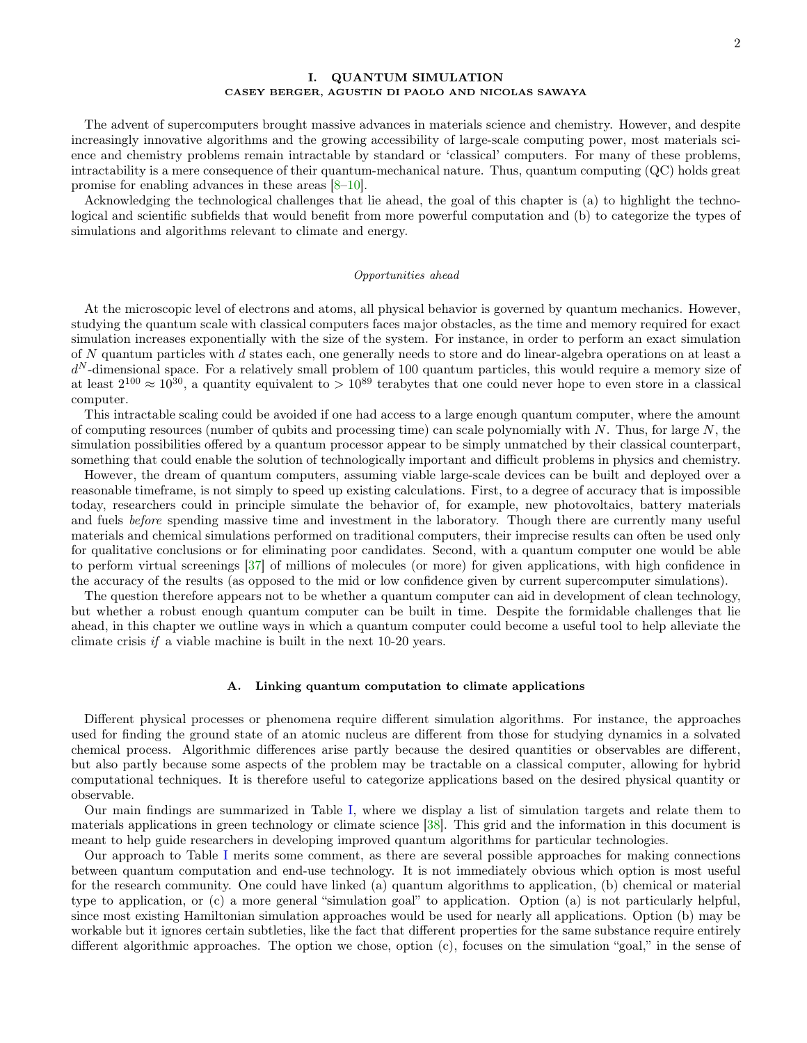# <span id="page-1-0"></span>I. QUANTUM SIMULATION CASEY BERGER, AGUSTIN DI PAOLO AND NICOLAS SAWAYA

The advent of supercomputers brought massive advances in materials science and chemistry. However, and despite increasingly innovative algorithms and the growing accessibility of large-scale computing power, most materials science and chemistry problems remain intractable by standard or 'classical' computers. For many of these problems, intractability is a mere consequence of their quantum-mechanical nature. Thus, quantum computing (QC) holds great promise for enabling advances in these areas [\[8–](#page-9-5)[10\]](#page-9-6).

Acknowledging the technological challenges that lie ahead, the goal of this chapter is (a) to highlight the technological and scientific subfields that would benefit from more powerful computation and (b) to categorize the types of simulations and algorithms relevant to climate and energy.

#### Opportunities ahead

At the microscopic level of electrons and atoms, all physical behavior is governed by quantum mechanics. However, studying the quantum scale with classical computers faces major obstacles, as the time and memory required for exact simulation increases exponentially with the size of the system. For instance, in order to perform an exact simulation of N quantum particles with d states each, one generally needs to store and do linear-algebra operations on at least a  $d^N$ -dimensional space. For a relatively small problem of 100 quantum particles, this would require a memory size of at least  $2^{100} \approx 10^{30}$ , a quantity equivalent to  $> 10^{89}$  terabytes that one could never hope to even store in a classical computer.

This intractable scaling could be avoided if one had access to a large enough quantum computer, where the amount of computing resources (number of qubits and processing time) can scale polynomially with  $N$ . Thus, for large  $N$ , the simulation possibilities offered by a quantum processor appear to be simply unmatched by their classical counterpart, something that could enable the solution of technologically important and difficult problems in physics and chemistry.

However, the dream of quantum computers, assuming viable large-scale devices can be built and deployed over a reasonable timeframe, is not simply to speed up existing calculations. First, to a degree of accuracy that is impossible today, researchers could in principle simulate the behavior of, for example, new photovoltaics, battery materials and fuels before spending massive time and investment in the laboratory. Though there are currently many useful materials and chemical simulations performed on traditional computers, their imprecise results can often be used only for qualitative conclusions or for eliminating poor candidates. Second, with a quantum computer one would be able to perform virtual screenings [\[37](#page-10-0)] of millions of molecules (or more) for given applications, with high confidence in the accuracy of the results (as opposed to the mid or low confidence given by current supercomputer simulations).

The question therefore appears not to be whether a quantum computer can aid in development of clean technology, but whether a robust enough quantum computer can be built in time. Despite the formidable challenges that lie ahead, in this chapter we outline ways in which a quantum computer could become a useful tool to help alleviate the climate crisis if a viable machine is built in the next 10-20 years.

#### A. Linking quantum computation to climate applications

Different physical processes or phenomena require different simulation algorithms. For instance, the approaches used for finding the ground state of an atomic nucleus are different from those for studying dynamics in a solvated chemical process. Algorithmic differences arise partly because the desired quantities or observables are different, but also partly because some aspects of the problem may be tractable on a classical computer, allowing for hybrid computational techniques. It is therefore useful to categorize applications based on the desired physical quantity or observable.

Our main findings are summarized in Table [I,](#page-2-0) where we display a list of simulation targets and relate them to materials applications in green technology or climate science [\[38](#page-10-1)]. This grid and the information in this document is meant to help guide researchers in developing improved quantum algorithms for particular technologies.

Our approach to Table [I](#page-2-0) merits some comment, as there are several possible approaches for making connections between quantum computation and end-use technology. It is not immediately obvious which option is most useful for the research community. One could have linked (a) quantum algorithms to application, (b) chemical or material type to application, or (c) a more general "simulation goal" to application. Option (a) is not particularly helpful, since most existing Hamiltonian simulation approaches would be used for nearly all applications. Option (b) may be workable but it ignores certain subtleties, like the fact that different properties for the same substance require entirely different algorithmic approaches. The option we chose, option (c), focuses on the simulation "goal," in the sense of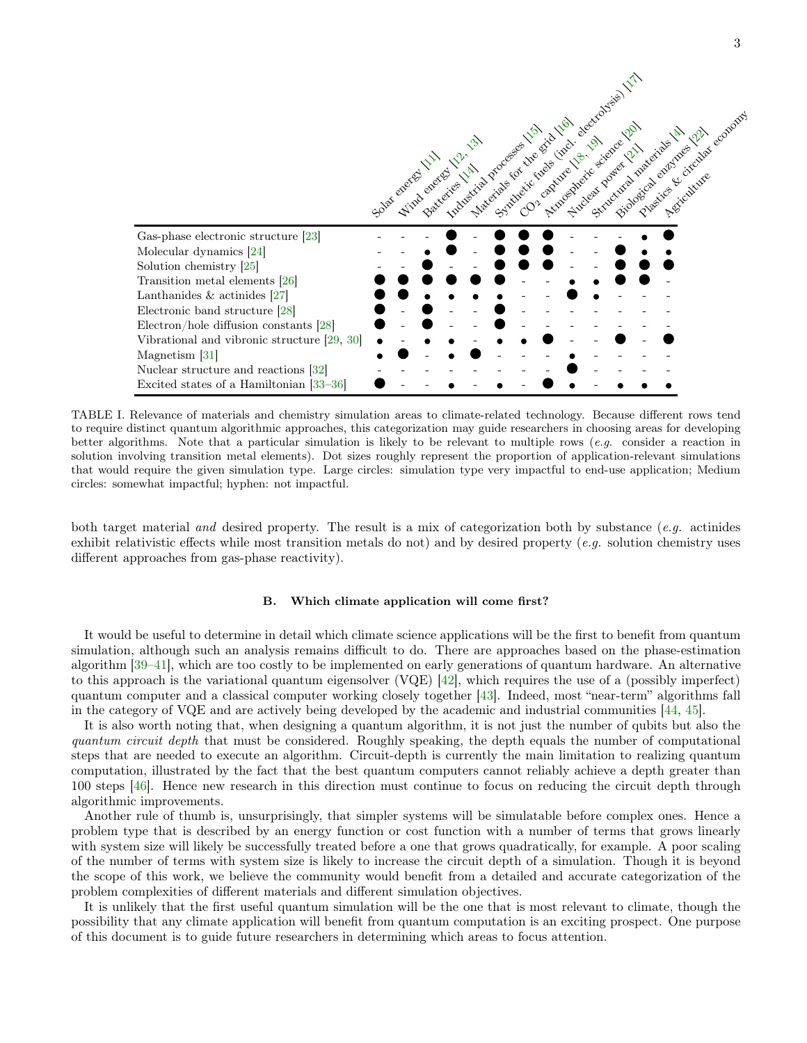

<span id="page-2-0"></span>TABLE I. Relevance of materials and chemistry simulation areas to climate-related technology. Because different rows tend to require distinct quantum algorithmic approaches, this categorization may guide researchers in choosing areas for developing better algorithms. Note that a particular simulation is likely to be relevant to multiple rows (e.g. consider a reaction in solution involving transition metal elements). Dot sizes roughly represent the proportion of application-relevant simulations that would require the given simulation type. Large circles: simulation type very impactful to end-use application; Medium circles: somewhat impactful; hyphen: not impactful.

both target material and desired property. The result is a mix of categorization both by substance (e.g. actinides exhibit relativistic effects while most transition metals do not) and by desired property (e.g. solution chemistry uses different approaches from gas-phase reactivity).

# B. Which climate application will come first?

It would be useful to determine in detail which climate science applications will be the first to benefit from quantum simulation, although such an analysis remains difficult to do. There are approaches based on the phase-estimation algorithm [\[39](#page-10-26)[–41\]](#page-10-27), which are too costly to be implemented on early generations of quantum hardware. An alternative to this approach is the variational quantum eigensolver (VQE) [\[42\]](#page-10-28), which requires the use of a (possibly imperfect) quantum computer and a classical computer working closely together [\[43\]](#page-11-0). Indeed, most "near-term" algorithms fall in the category of VQE and are actively being developed by the academic and industrial communities [\[44](#page-11-1), [45](#page-11-2)].

It is also worth noting that, when designing a quantum algorithm, it is not just the number of qubits but also the quantum circuit depth that must be considered. Roughly speaking, the depth equals the number of computational steps that are needed to execute an algorithm. Circuit-depth is currently the main limitation to realizing quantum computation, illustrated by the fact that the best quantum computers cannot reliably achieve a depth greater than 100 steps [\[46](#page-11-3)]. Hence new research in this direction must continue to focus on reducing the circuit depth through algorithmic improvements.

Another rule of thumb is, unsurprisingly, that simpler systems will be simulatable before complex ones. Hence a problem type that is described by an energy function or cost function with a number of terms that grows linearly with system size will likely be successfully treated before a one that grows quadratically, for example. A poor scaling of the number of terms with system size is likely to increase the circuit depth of a simulation. Though it is beyond the scope of this work, we believe the community would benefit from a detailed and accurate categorization of the problem complexities of different materials and different simulation objectives.

It is unlikely that the first useful quantum simulation will be the one that is most relevant to climate, though the possibility that any climate application will benefit from quantum computation is an exciting prospect. One purpose of this document is to guide future researchers in determining which areas to focus attention.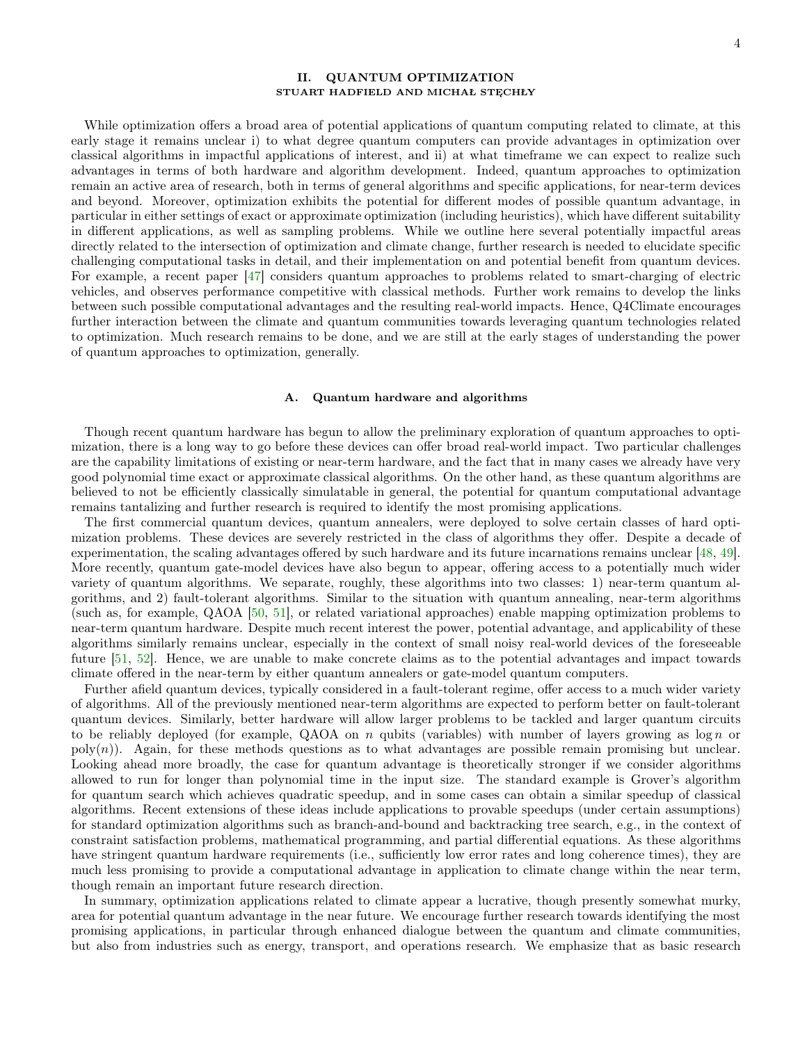# <span id="page-3-0"></span>II. QUANTUM OPTIMIZATION STUART HADFIELD AND MICHAŁ STĘCHŁY

While optimization offers a broad area of potential applications of quantum computing related to climate, at this early stage it remains unclear i) to what degree quantum computers can provide advantages in optimization over classical algorithms in impactful applications of interest, and ii) at what timeframe we can expect to realize such advantages in terms of both hardware and algorithm development. Indeed, quantum approaches to optimization remain an active area of research, both in terms of general algorithms and specific applications, for near-term devices and beyond. Moreover, optimization exhibits the potential for different modes of possible quantum advantage, in particular in either settings of exact or approximate optimization (including heuristics), which have different suitability in different applications, as well as sampling problems. While we outline here several potentially impactful areas directly related to the intersection of optimization and climate change, further research is needed to elucidate specific challenging computational tasks in detail, and their implementation on and potential benefit from quantum devices. For example, a recent paper [\[47](#page-11-4)] considers quantum approaches to problems related to smart-charging of electric vehicles, and observes performance competitive with classical methods. Further work remains to develop the links between such possible computational advantages and the resulting real-world impacts. Hence, Q4Climate encourages further interaction between the climate and quantum communities towards leveraging quantum technologies related to optimization. Much research remains to be done, and we are still at the early stages of understanding the power of quantum approaches to optimization, generally.

#### A. Quantum hardware and algorithms

Though recent quantum hardware has begun to allow the preliminary exploration of quantum approaches to optimization, there is a long way to go before these devices can offer broad real-world impact. Two particular challenges are the capability limitations of existing or near-term hardware, and the fact that in many cases we already have very good polynomial time exact or approximate classical algorithms. On the other hand, as these quantum algorithms are believed to not be efficiently classically simulatable in general, the potential for quantum computational advantage remains tantalizing and further research is required to identify the most promising applications.

The first commercial quantum devices, quantum annealers, were deployed to solve certain classes of hard optimization problems. These devices are severely restricted in the class of algorithms they offer. Despite a decade of experimentation, the scaling advantages offered by such hardware and its future incarnations remains unclear [\[48,](#page-11-5) [49\]](#page-11-6). More recently, quantum gate-model devices have also begun to appear, offering access to a potentially much wider variety of quantum algorithms. We separate, roughly, these algorithms into two classes: 1) near-term quantum algorithms, and 2) fault-tolerant algorithms. Similar to the situation with quantum annealing, near-term algorithms (such as, for example, QAOA [\[50,](#page-11-7) [51](#page-11-8)], or related variational approaches) enable mapping optimization problems to near-term quantum hardware. Despite much recent interest the power, potential advantage, and applicability of these algorithms similarly remains unclear, especially in the context of small noisy real-world devices of the foreseeable future [\[51](#page-11-8), [52\]](#page-11-9). Hence, we are unable to make concrete claims as to the potential advantages and impact towards climate offered in the near-term by either quantum annealers or gate-model quantum computers.

Further afield quantum devices, typically considered in a fault-tolerant regime, offer access to a much wider variety of algorithms. All of the previously mentioned near-term algorithms are expected to perform better on fault-tolerant quantum devices. Similarly, better hardware will allow larger problems to be tackled and larger quantum circuits to be reliably deployed (for example, QAOA on n qubits (variables) with number of layers growing as  $\log n$  or  $\text{poly}(n)$ ). Again, for these methods questions as to what advantages are possible remain promising but unclear. Looking ahead more broadly, the case for quantum advantage is theoretically stronger if we consider algorithms allowed to run for longer than polynomial time in the input size. The standard example is Grover's algorithm for quantum search which achieves quadratic speedup, and in some cases can obtain a similar speedup of classical algorithms. Recent extensions of these ideas include applications to provable speedups (under certain assumptions) for standard optimization algorithms such as branch-and-bound and backtracking tree search, e.g., in the context of constraint satisfaction problems, mathematical programming, and partial differential equations. As these algorithms have stringent quantum hardware requirements (i.e., sufficiently low error rates and long coherence times), they are much less promising to provide a computational advantage in application to climate change within the near term, though remain an important future research direction.

In summary, optimization applications related to climate appear a lucrative, though presently somewhat murky, area for potential quantum advantage in the near future. We encourage further research towards identifying the most promising applications, in particular through enhanced dialogue between the quantum and climate communities, but also from industries such as energy, transport, and operations research. We emphasize that as basic research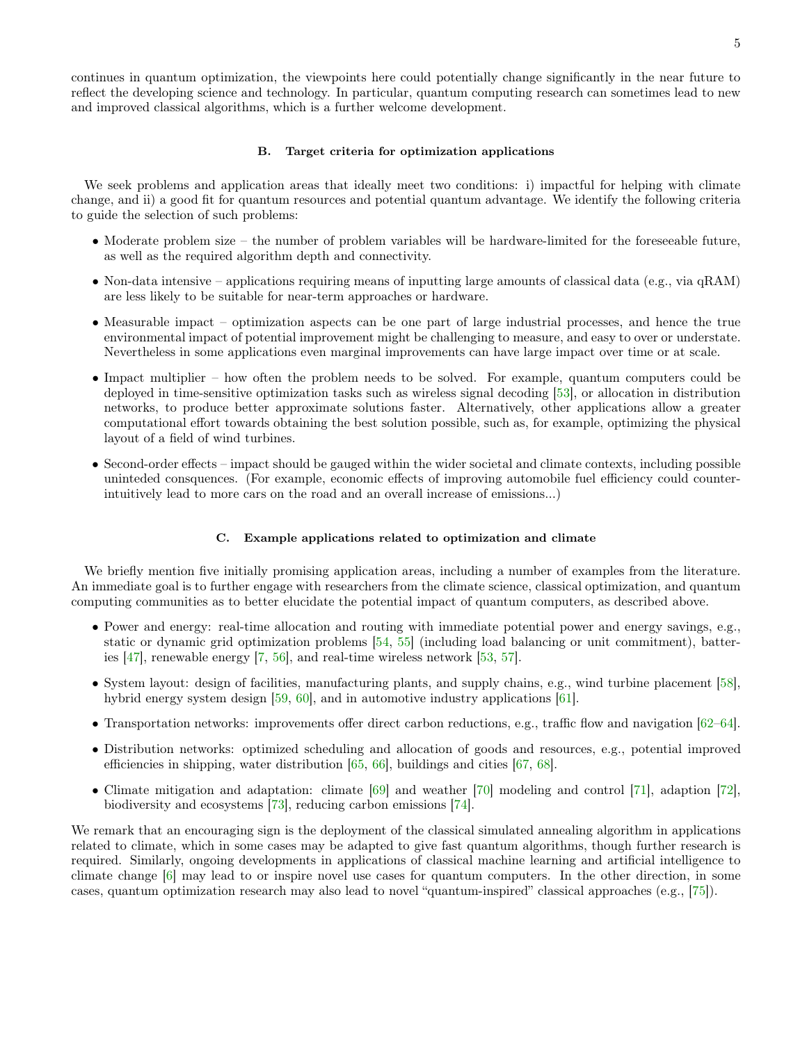continues in quantum optimization, the viewpoints here could potentially change significantly in the near future to reflect the developing science and technology. In particular, quantum computing research can sometimes lead to new and improved classical algorithms, which is a further welcome development.

#### B. Target criteria for optimization applications

We seek problems and application areas that ideally meet two conditions: i) impactful for helping with climate change, and ii) a good fit for quantum resources and potential quantum advantage. We identify the following criteria to guide the selection of such problems:

- Moderate problem size the number of problem variables will be hardware-limited for the foreseeable future, as well as the required algorithm depth and connectivity.
- Non-data intensive applications requiring means of inputting large amounts of classical data (e.g., via  $qRAM$ ) are less likely to be suitable for near-term approaches or hardware.
- Measurable impact optimization aspects can be one part of large industrial processes, and hence the true environmental impact of potential improvement might be challenging to measure, and easy to over or understate. Nevertheless in some applications even marginal improvements can have large impact over time or at scale.
- Impact multiplier how often the problem needs to be solved. For example, quantum computers could be deployed in time-sensitive optimization tasks such as wireless signal decoding [\[53\]](#page-11-10), or allocation in distribution networks, to produce better approximate solutions faster. Alternatively, other applications allow a greater computational effort towards obtaining the best solution possible, such as, for example, optimizing the physical layout of a field of wind turbines.
- Second-order effects impact should be gauged within the wider societal and climate contexts, including possible uninteded consquences. (For example, economic effects of improving automobile fuel efficiency could counterintuitively lead to more cars on the road and an overall increase of emissions...)

#### C. Example applications related to optimization and climate

We briefly mention five initially promising application areas, including a number of examples from the literature. An immediate goal is to further engage with researchers from the climate science, classical optimization, and quantum computing communities as to better elucidate the potential impact of quantum computers, as described above.

- Power and energy: real-time allocation and routing with immediate potential power and energy savings, e.g., static or dynamic grid optimization problems [\[54](#page-11-11), [55\]](#page-11-12) (including load balancing or unit commitment), batteries [\[47](#page-11-4)], renewable energy [\[7,](#page-9-3) [56\]](#page-11-13), and real-time wireless network [\[53,](#page-11-10) [57\]](#page-11-14).
- System layout: design of facilities, manufacturing plants, and supply chains, e.g., wind turbine placement [\[58\]](#page-11-15), hybrid energy system design [\[59,](#page-11-16) [60\]](#page-11-17), and in automotive industry applications [\[61](#page-11-18)].
- Transportation networks: improvements offer direct carbon reductions, e.g., traffic flow and navigation [\[62](#page-11-19)[–64\]](#page-11-20).
- Distribution networks: optimized scheduling and allocation of goods and resources, e.g., potential improved efficiencies in shipping, water distribution [\[65](#page-11-21), [66\]](#page-11-22), buildings and cities [\[67,](#page-11-23) [68\]](#page-11-24).
- Climate mitigation and adaptation: climate [\[69\]](#page-12-0) and weather [\[70\]](#page-12-1) modeling and control [\[71\]](#page-12-2), adaption [\[72\]](#page-12-3), biodiversity and ecosystems [\[73\]](#page-12-4), reducing carbon emissions [\[74\]](#page-12-5).

We remark that an encouraging sign is the deployment of the classical simulated annealing algorithm in applications related to climate, which in some cases may be adapted to give fast quantum algorithms, though further research is required. Similarly, ongoing developments in applications of classical machine learning and artificial intelligence to climate change [\[6](#page-9-8)] may lead to or inspire novel use cases for quantum computers. In the other direction, in some cases, quantum optimization research may also lead to novel "quantum-inspired" classical approaches (e.g., [\[75\]](#page-12-6)).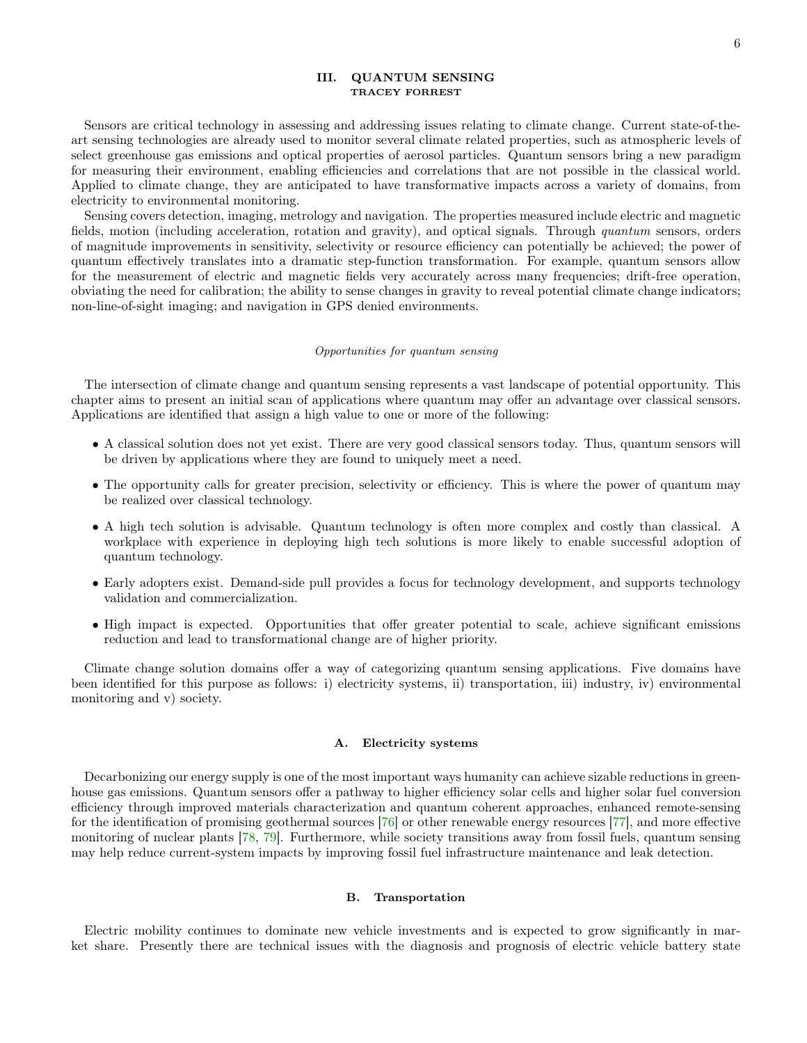# <span id="page-5-0"></span>III. QUANTUM SENSING TRACEY FORREST

Sensors are critical technology in assessing and addressing issues relating to climate change. Current state-of-theart sensing technologies are already used to monitor several climate related properties, such as atmospheric levels of select greenhouse gas emissions and optical properties of aerosol particles. Quantum sensors bring a new paradigm for measuring their environment, enabling efficiencies and correlations that are not possible in the classical world. Applied to climate change, they are anticipated to have transformative impacts across a variety of domains, from electricity to environmental monitoring.

Sensing covers detection, imaging, metrology and navigation. The properties measured include electric and magnetic fields, motion (including acceleration, rotation and gravity), and optical signals. Through quantum sensors, orders of magnitude improvements in sensitivity, selectivity or resource efficiency can potentially be achieved; the power of quantum effectively translates into a dramatic step-function transformation. For example, quantum sensors allow for the measurement of electric and magnetic fields very accurately across many frequencies; drift-free operation, obviating the need for calibration; the ability to sense changes in gravity to reveal potential climate change indicators; non-line-of-sight imaging; and navigation in GPS denied environments.

#### Opportunities for quantum sensing

The intersection of climate change and quantum sensing represents a vast landscape of potential opportunity. This chapter aims to present an initial scan of applications where quantum may offer an advantage over classical sensors. Applications are identified that assign a high value to one or more of the following:

- A classical solution does not yet exist. There are very good classical sensors today. Thus, quantum sensors will be driven by applications where they are found to uniquely meet a need.
- The opportunity calls for greater precision, selectivity or efficiency. This is where the power of quantum may be realized over classical technology.
- A high tech solution is advisable. Quantum technology is often more complex and costly than classical. A workplace with experience in deploying high tech solutions is more likely to enable successful adoption of quantum technology.
- Early adopters exist. Demand-side pull provides a focus for technology development, and supports technology validation and commercialization.
- High impact is expected. Opportunities that offer greater potential to scale, achieve significant emissions reduction and lead to transformational change are of higher priority.

Climate change solution domains offer a way of categorizing quantum sensing applications. Five domains have been identified for this purpose as follows: i) electricity systems, ii) transportation, iii) industry, iv) environmental monitoring and v) society.

### A. Electricity systems

Decarbonizing our energy supply is one of the most important ways humanity can achieve sizable reductions in greenhouse gas emissions. Quantum sensors offer a pathway to higher efficiency solar cells and higher solar fuel conversion efficiency through improved materials characterization and quantum coherent approaches, enhanced remote-sensing for the identification of promising geothermal sources [\[76\]](#page-12-7) or other renewable energy resources [\[77\]](#page-12-8), and more effective monitoring of nuclear plants [\[78,](#page-12-9) [79\]](#page-12-10). Furthermore, while society transitions away from fossil fuels, quantum sensing may help reduce current-system impacts by improving fossil fuel infrastructure maintenance and leak detection.

# B. Transportation

Electric mobility continues to dominate new vehicle investments and is expected to grow significantly in market share. Presently there are technical issues with the diagnosis and prognosis of electric vehicle battery state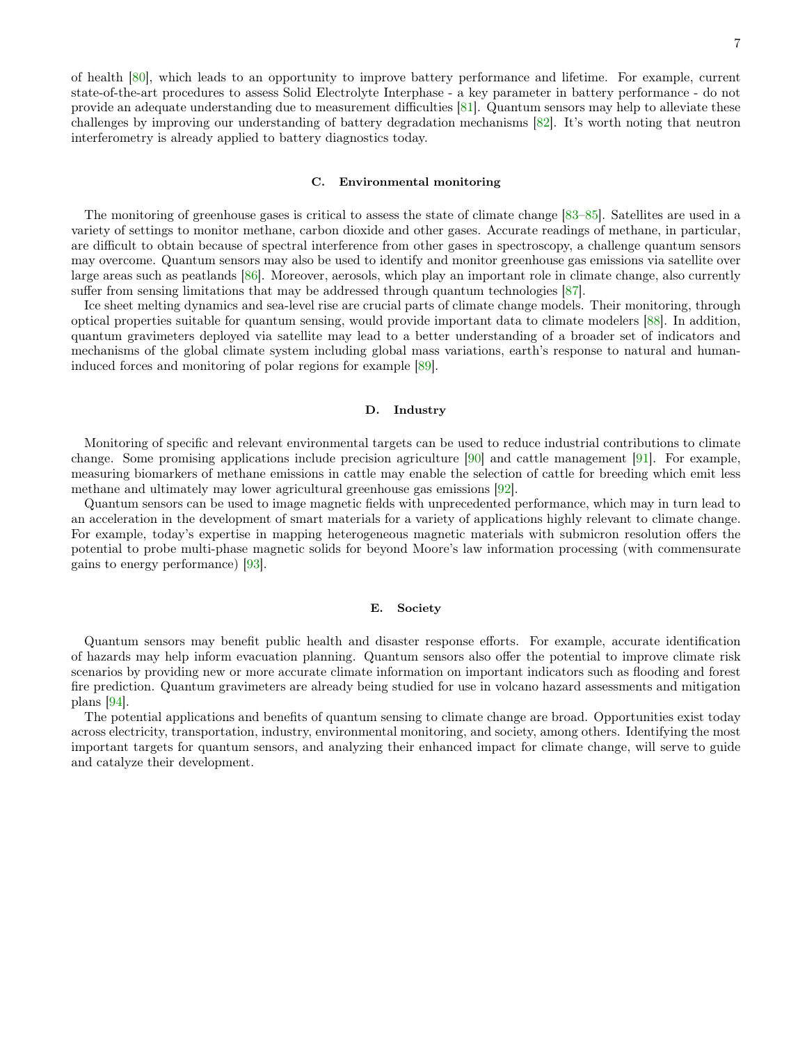of health [\[80\]](#page-12-11), which leads to an opportunity to improve battery performance and lifetime. For example, current state-of-the-art procedures to assess Solid Electrolyte Interphase - a key parameter in battery performance - do not provide an adequate understanding due to measurement difficulties [\[81\]](#page-12-12). Quantum sensors may help to alleviate these challenges by improving our understanding of battery degradation mechanisms [\[82](#page-12-13)]. It's worth noting that neutron interferometry is already applied to battery diagnostics today.

## C. Environmental monitoring

The monitoring of greenhouse gases is critical to assess the state of climate change [\[83](#page-12-14)[–85\]](#page-12-15). Satellites are used in a variety of settings to monitor methane, carbon dioxide and other gases. Accurate readings of methane, in particular, are difficult to obtain because of spectral interference from other gases in spectroscopy, a challenge quantum sensors may overcome. Quantum sensors may also be used to identify and monitor greenhouse gas emissions via satellite over large areas such as peatlands [\[86\]](#page-12-16). Moreover, aerosols, which play an important role in climate change, also currently suffer from sensing limitations that may be addressed through quantum technologies [\[87](#page-12-17)].

Ice sheet melting dynamics and sea-level rise are crucial parts of climate change models. Their monitoring, through optical properties suitable for quantum sensing, would provide important data to climate modelers [\[88](#page-12-18)]. In addition, quantum gravimeters deployed via satellite may lead to a better understanding of a broader set of indicators and mechanisms of the global climate system including global mass variations, earth's response to natural and humaninduced forces and monitoring of polar regions for example [\[89](#page-12-19)].

#### D. Industry

Monitoring of specific and relevant environmental targets can be used to reduce industrial contributions to climate change. Some promising applications include precision agriculture [\[90](#page-12-20)] and cattle management [\[91\]](#page-13-0). For example, measuring biomarkers of methane emissions in cattle may enable the selection of cattle for breeding which emit less methane and ultimately may lower agricultural greenhouse gas emissions [\[92\]](#page-13-1).

Quantum sensors can be used to image magnetic fields with unprecedented performance, which may in turn lead to an acceleration in the development of smart materials for a variety of applications highly relevant to climate change. For example, today's expertise in mapping heterogeneous magnetic materials with submicron resolution offers the potential to probe multi-phase magnetic solids for beyond Moore's law information processing (with commensurate gains to energy performance) [\[93](#page-13-2)].

## E. Society

Quantum sensors may benefit public health and disaster response efforts. For example, accurate identification of hazards may help inform evacuation planning. Quantum sensors also offer the potential to improve climate risk scenarios by providing new or more accurate climate information on important indicators such as flooding and forest fire prediction. Quantum gravimeters are already being studied for use in volcano hazard assessments and mitigation plans [\[94\]](#page-13-3).

The potential applications and benefits of quantum sensing to climate change are broad. Opportunities exist today across electricity, transportation, industry, environmental monitoring, and society, among others. Identifying the most important targets for quantum sensors, and analyzing their enhanced impact for climate change, will serve to guide and catalyze their development.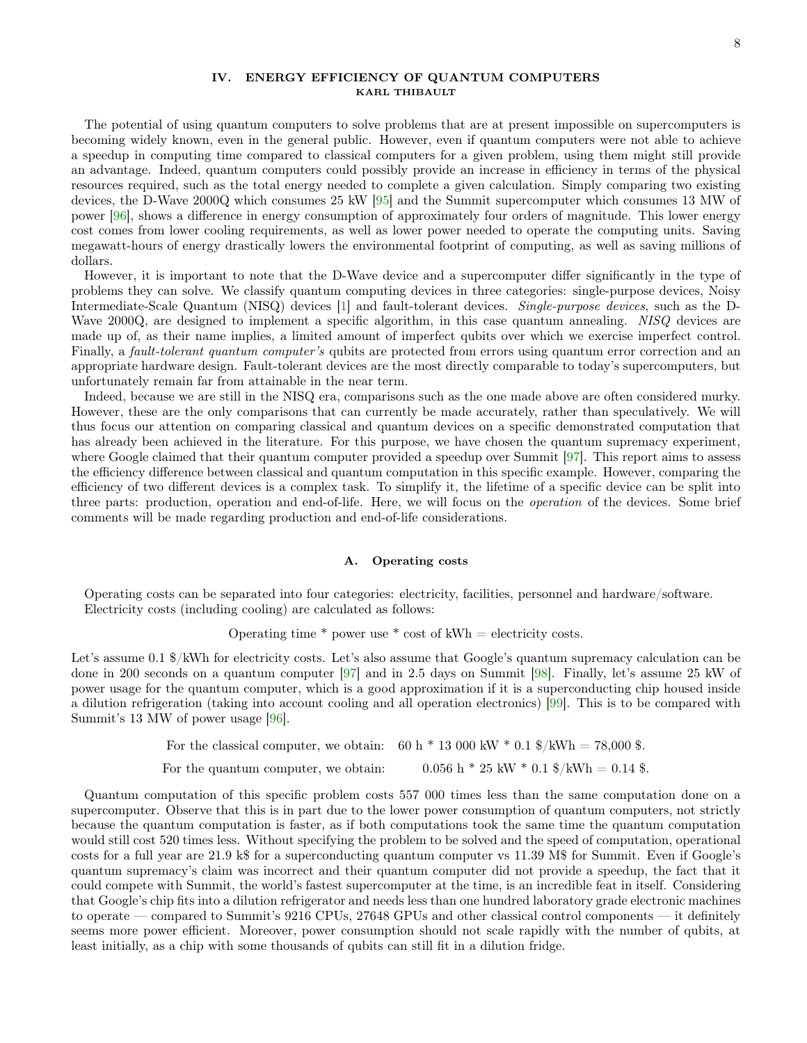## <span id="page-7-0"></span>IV. ENERGY EFFICIENCY OF QUANTUM COMPUTERS KARL THIBAULT

The potential of using quantum computers to solve problems that are at present impossible on supercomputers is becoming widely known, even in the general public. However, even if quantum computers were not able to achieve a speedup in computing time compared to classical computers for a given problem, using them might still provide an advantage. Indeed, quantum computers could possibly provide an increase in efficiency in terms of the physical resources required, such as the total energy needed to complete a given calculation. Simply comparing two existing devices, the D-Wave 2000Q which consumes 25 kW [\[95](#page-13-4)] and the Summit supercomputer which consumes 13 MW of power [\[96](#page-13-5)], shows a difference in energy consumption of approximately four orders of magnitude. This lower energy cost comes from lower cooling requirements, as well as lower power needed to operate the computing units. Saving megawatt-hours of energy drastically lowers the environmental footprint of computing, as well as saving millions of dollars.

However, it is important to note that the D-Wave device and a supercomputer differ significantly in the type of problems they can solve. We classify quantum computing devices in three categories: single-purpose devices, Noisy Intermediate-Scale Quantum (NISQ) devices [\[1](#page-9-0)] and fault-tolerant devices. Single-purpose devices, such as the D-Wave 2000Q, are designed to implement a specific algorithm, in this case quantum annealing. NISQ devices are made up of, as their name implies, a limited amount of imperfect qubits over which we exercise imperfect control. Finally, a *fault-tolerant quantum computer's* qubits are protected from errors using quantum error correction and an appropriate hardware design. Fault-tolerant devices are the most directly comparable to today's supercomputers, but unfortunately remain far from attainable in the near term.

Indeed, because we are still in the NISQ era, comparisons such as the one made above are often considered murky. However, these are the only comparisons that can currently be made accurately, rather than speculatively. We will thus focus our attention on comparing classical and quantum devices on a specific demonstrated computation that has already been achieved in the literature. For this purpose, we have chosen the quantum supremacy experiment, where Google claimed that their quantum computer provided a speedup over Summit [\[97](#page-13-6)]. This report aims to assess the efficiency difference between classical and quantum computation in this specific example. However, comparing the efficiency of two different devices is a complex task. To simplify it, the lifetime of a specific device can be split into three parts: production, operation and end-of-life. Here, we will focus on the operation of the devices. Some brief comments will be made regarding production and end-of-life considerations.

#### A. Operating costs

Operating costs can be separated into four categories: electricity, facilities, personnel and hardware/software. Electricity costs (including cooling) are calculated as follows:

Operating time  $*$  power use  $*$  cost of kWh = electricity costs.

Let's assume 0.1  $\frac{1}{2}$ /kWh for electricity costs. Let's also assume that Google's quantum supremacy calculation can be done in 200 seconds on a quantum computer [\[97\]](#page-13-6) and in 2.5 days on Summit [\[98\]](#page-13-7). Finally, let's assume 25 kW of power usage for the quantum computer, which is a good approximation if it is a superconducting chip housed inside a dilution refrigeration (taking into account cooling and all operation electronics) [\[99](#page-13-8)]. This is to be compared with Summit's 13 MW of power usage [\[96\]](#page-13-5).

For the classical computer, we obtain:  $60 h * 13000 kW * 0.1 \text{ %/}kWh = 78,000 \text{ %.}$ 

For the quantum computer, we obtain:  $0.056 h * 25 kW * 0.1 \text{ %}/kWh = 0.14 \text{ %}.$ 

Quantum computation of this specific problem costs 557 000 times less than the same computation done on a supercomputer. Observe that this is in part due to the lower power consumption of quantum computers, not strictly because the quantum computation is faster, as if both computations took the same time the quantum computation would still cost 520 times less. Without specifying the problem to be solved and the speed of computation, operational costs for a full year are 21.9 k\$ for a superconducting quantum computer vs 11.39 M\$ for Summit. Even if Google's quantum supremacy's claim was incorrect and their quantum computer did not provide a speedup, the fact that it could compete with Summit, the world's fastest supercomputer at the time, is an incredible feat in itself. Considering that Google's chip fits into a dilution refrigerator and needs less than one hundred laboratory grade electronic machines to operate — compared to Summit's 9216 CPUs, 27648 GPUs and other classical control components — it definitely seems more power efficient. Moreover, power consumption should not scale rapidly with the number of qubits, at least initially, as a chip with some thousands of qubits can still fit in a dilution fridge.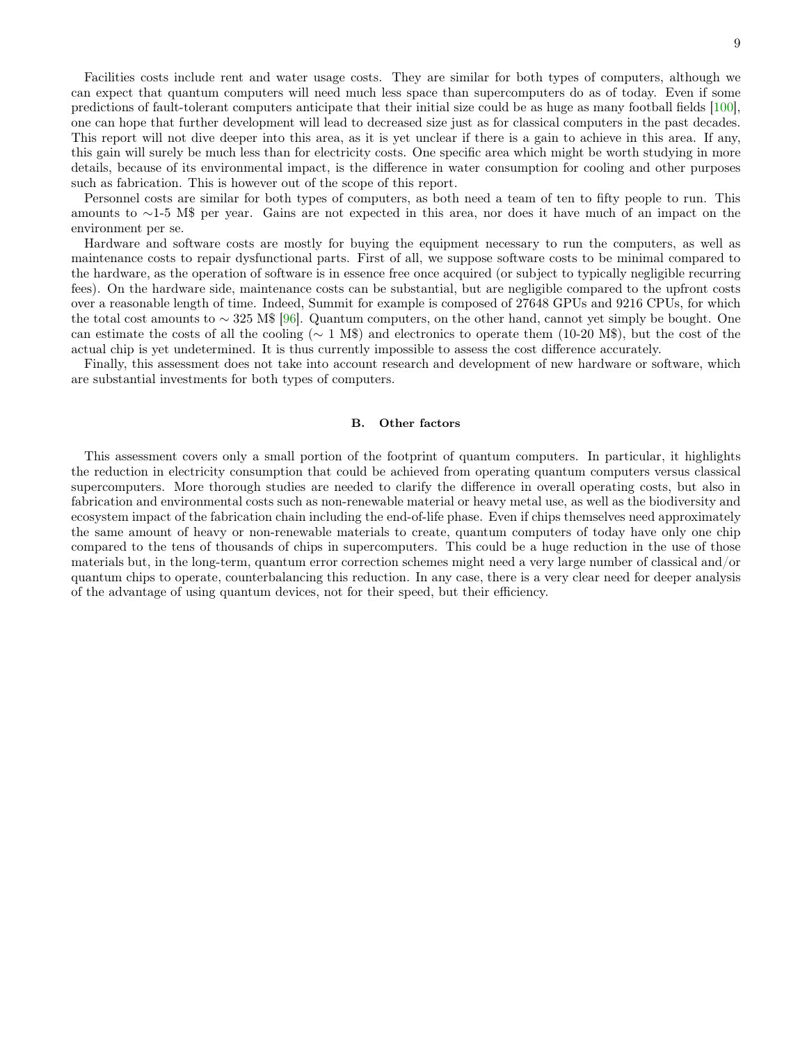Facilities costs include rent and water usage costs. They are similar for both types of computers, although we can expect that quantum computers will need much less space than supercomputers do as of today. Even if some predictions of fault-tolerant computers anticipate that their initial size could be as huge as many football fields [\[100\]](#page-13-9), one can hope that further development will lead to decreased size just as for classical computers in the past decades. This report will not dive deeper into this area, as it is yet unclear if there is a gain to achieve in this area. If any, this gain will surely be much less than for electricity costs. One specific area which might be worth studying in more details, because of its environmental impact, is the difference in water consumption for cooling and other purposes such as fabrication. This is however out of the scope of this report.

Personnel costs are similar for both types of computers, as both need a team of ten to fifty people to run. This amounts to ∼1-5 M\$ per year. Gains are not expected in this area, nor does it have much of an impact on the environment per se.

Hardware and software costs are mostly for buying the equipment necessary to run the computers, as well as maintenance costs to repair dysfunctional parts. First of all, we suppose software costs to be minimal compared to the hardware, as the operation of software is in essence free once acquired (or subject to typically negligible recurring fees). On the hardware side, maintenance costs can be substantial, but are negligible compared to the upfront costs over a reasonable length of time. Indeed, Summit for example is composed of 27648 GPUs and 9216 CPUs, for which the total cost amounts to ∼ 325 M\$ [\[96\]](#page-13-5). Quantum computers, on the other hand, cannot yet simply be bought. One can estimate the costs of all the cooling ( $∼ 1$  M\$) and electronics to operate them (10-20 M\$), but the cost of the actual chip is yet undetermined. It is thus currently impossible to assess the cost difference accurately.

Finally, this assessment does not take into account research and development of new hardware or software, which are substantial investments for both types of computers.

#### B. Other factors

This assessment covers only a small portion of the footprint of quantum computers. In particular, it highlights the reduction in electricity consumption that could be achieved from operating quantum computers versus classical supercomputers. More thorough studies are needed to clarify the difference in overall operating costs, but also in fabrication and environmental costs such as non-renewable material or heavy metal use, as well as the biodiversity and ecosystem impact of the fabrication chain including the end-of-life phase. Even if chips themselves need approximately the same amount of heavy or non-renewable materials to create, quantum computers of today have only one chip compared to the tens of thousands of chips in supercomputers. This could be a huge reduction in the use of those materials but, in the long-term, quantum error correction schemes might need a very large number of classical and/or quantum chips to operate, counterbalancing this reduction. In any case, there is a very clear need for deeper analysis of the advantage of using quantum devices, not for their speed, but their efficiency.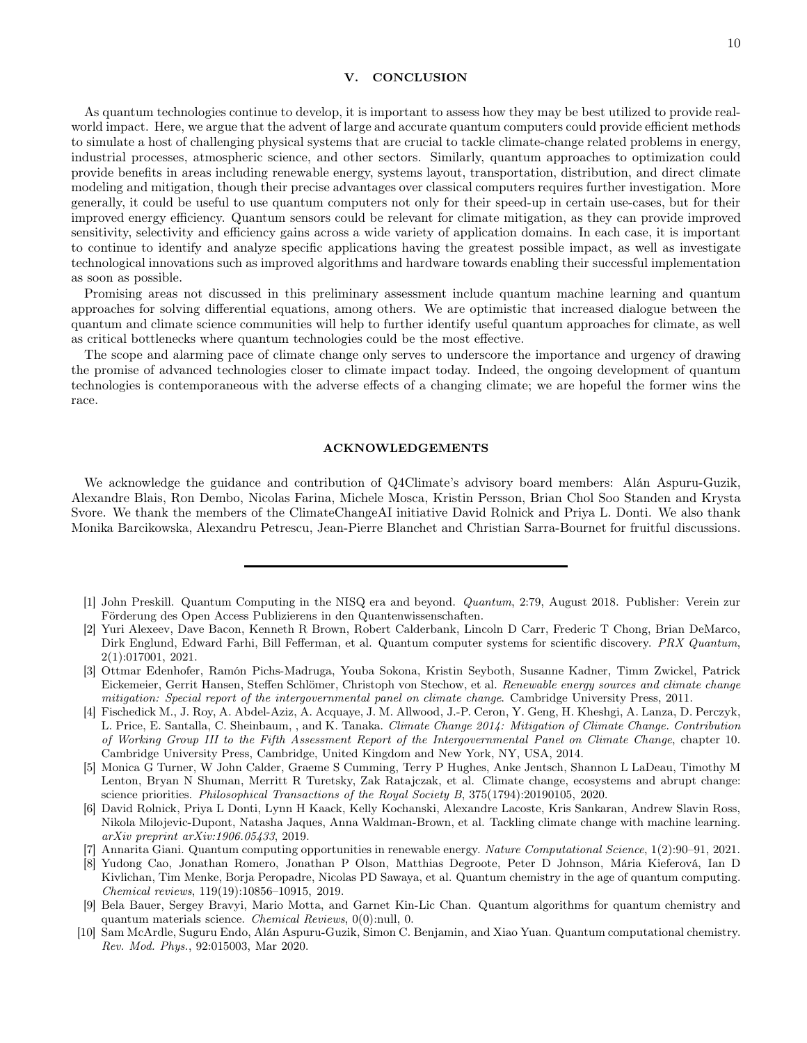## <span id="page-9-4"></span>V. CONCLUSION

As quantum technologies continue to develop, it is important to assess how they may be best utilized to provide realworld impact. Here, we argue that the advent of large and accurate quantum computers could provide efficient methods to simulate a host of challenging physical systems that are crucial to tackle climate-change related problems in energy, industrial processes, atmospheric science, and other sectors. Similarly, quantum approaches to optimization could provide benefits in areas including renewable energy, systems layout, transportation, distribution, and direct climate modeling and mitigation, though their precise advantages over classical computers requires further investigation. More generally, it could be useful to use quantum computers not only for their speed-up in certain use-cases, but for their improved energy efficiency. Quantum sensors could be relevant for climate mitigation, as they can provide improved sensitivity, selectivity and efficiency gains across a wide variety of application domains. In each case, it is important to continue to identify and analyze specific applications having the greatest possible impact, as well as investigate technological innovations such as improved algorithms and hardware towards enabling their successful implementation as soon as possible.

Promising areas not discussed in this preliminary assessment include quantum machine learning and quantum approaches for solving differential equations, among others. We are optimistic that increased dialogue between the quantum and climate science communities will help to further identify useful quantum approaches for climate, as well as critical bottlenecks where quantum technologies could be the most effective.

The scope and alarming pace of climate change only serves to underscore the importance and urgency of drawing the promise of advanced technologies closer to climate impact today. Indeed, the ongoing development of quantum technologies is contemporaneous with the adverse effects of a changing climate; we are hopeful the former wins the race.

## ACKNOWLEDGEMENTS

We acknowledge the guidance and contribution of Q4Climate's advisory board members: Alán Aspuru-Guzik, Alexandre Blais, Ron Dembo, Nicolas Farina, Michele Mosca, Kristin Persson, Brian Chol Soo Standen and Krysta Svore. We thank the members of the ClimateChangeAI initiative David Rolnick and Priya L. Donti. We also thank Monika Barcikowska, Alexandru Petrescu, Jean-Pierre Blanchet and Christian Sarra-Bournet for fruitful discussions.

- <span id="page-9-0"></span>[1] John Preskill. Quantum Computing in the NISQ era and beyond. Quantum, 2:79, August 2018. Publisher: Verein zur Förderung des Open Access Publizierens in den Quantenwissenschaften.
- <span id="page-9-1"></span>[2] Yuri Alexeev, Dave Bacon, Kenneth R Brown, Robert Calderbank, Lincoln D Carr, Frederic T Chong, Brian DeMarco, Dirk Englund, Edward Farhi, Bill Fefferman, et al. Quantum computer systems for scientific discovery. PRX Quantum, 2(1):017001, 2021.
- <span id="page-9-2"></span>[3] Ottmar Edenhofer, Ramón Pichs-Madruga, Youba Sokona, Kristin Seyboth, Susanne Kadner, Timm Zwickel, Patrick Eickemeier, Gerrit Hansen, Steffen Schlömer, Christoph von Stechow, et al. Renewable energy sources and climate change mitigation: Special report of the intergovernmental panel on climate change. Cambridge University Press, 2011.
- <span id="page-9-7"></span>[4] Fischedick M., J. Roy, A. Abdel-Aziz, A. Acquaye, J. M. Allwood, J.-P. Ceron, Y. Geng, H. Kheshgi, A. Lanza, D. Perczyk, L. Price, E. Santalla, C. Sheinbaum, , and K. Tanaka. Climate Change 2014: Mitigation of Climate Change. Contribution of Working Group III to the Fifth Assessment Report of the Intergovernmental Panel on Climate Change, chapter 10. Cambridge University Press, Cambridge, United Kingdom and New York, NY, USA, 2014.
- [5] Monica G Turner, W John Calder, Graeme S Cumming, Terry P Hughes, Anke Jentsch, Shannon L LaDeau, Timothy M Lenton, Bryan N Shuman, Merritt R Turetsky, Zak Ratajczak, et al. Climate change, ecosystems and abrupt change: science priorities. Philosophical Transactions of the Royal Society B, 375(1794):20190105, 2020.
- <span id="page-9-8"></span>[6] David Rolnick, Priya L Donti, Lynn H Kaack, Kelly Kochanski, Alexandre Lacoste, Kris Sankaran, Andrew Slavin Ross, Nikola Milojevic-Dupont, Natasha Jaques, Anna Waldman-Brown, et al. Tackling climate change with machine learning. arXiv preprint arXiv:1906.05433, 2019.
- <span id="page-9-3"></span>[7] Annarita Giani. Quantum computing opportunities in renewable energy. Nature Computational Science, 1(2):90–91, 2021.
- <span id="page-9-5"></span>[8] Yudong Cao, Jonathan Romero, Jonathan P Olson, Matthias Degroote, Peter D Johnson, Mária Kieferová, Ian D Kivlichan, Tim Menke, Borja Peropadre, Nicolas PD Sawaya, et al. Quantum chemistry in the age of quantum computing. Chemical reviews, 119(19):10856–10915, 2019.
- [9] Bela Bauer, Sergey Bravyi, Mario Motta, and Garnet Kin-Lic Chan. Quantum algorithms for quantum chemistry and quantum materials science. Chemical Reviews, 0(0):null, 0.
- <span id="page-9-6"></span>[10] Sam McArdle, Suguru Endo, Alán Aspuru-Guzik, Simon C. Benjamin, and Xiao Yuan. Quantum computational chemistry. Rev. Mod. Phys., 92:015003, Mar 2020.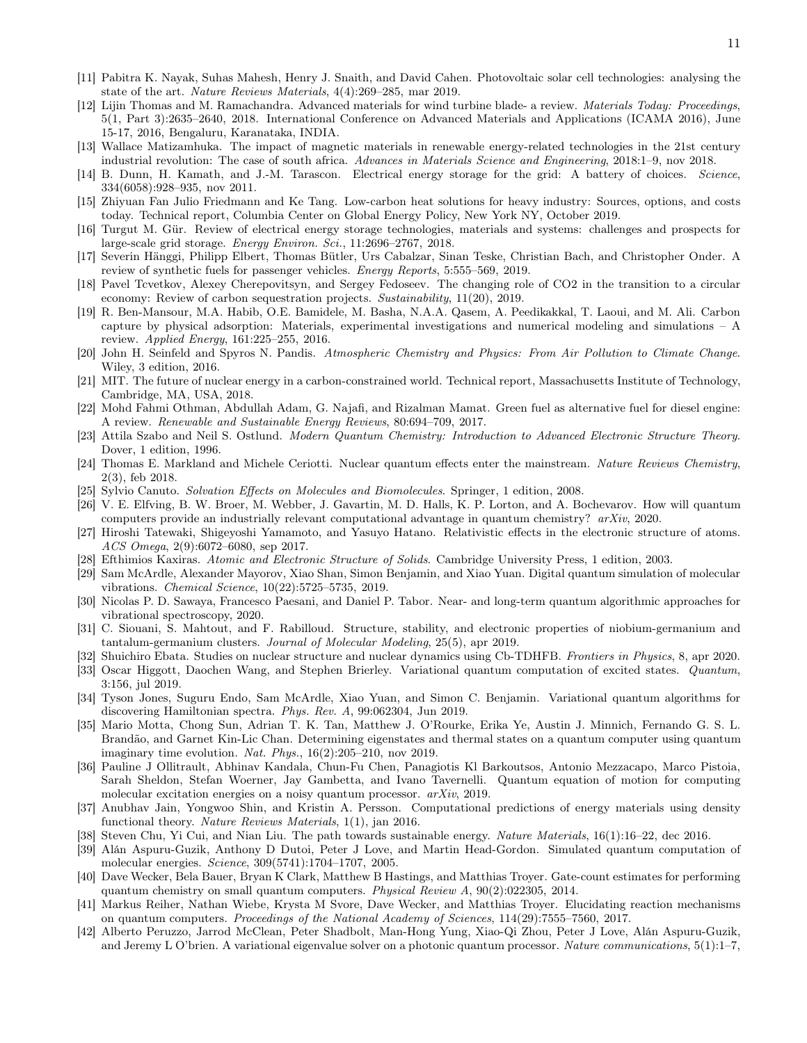- <span id="page-10-2"></span>[11] Pabitra K. Nayak, Suhas Mahesh, Henry J. Snaith, and David Cahen. Photovoltaic solar cell technologies: analysing the state of the art. Nature Reviews Materials, 4(4):269–285, mar 2019.
- <span id="page-10-3"></span>[12] Lijin Thomas and M. Ramachandra. Advanced materials for wind turbine blade- a review. Materials Today: Proceedings, 5(1, Part 3):2635–2640, 2018. International Conference on Advanced Materials and Applications (ICAMA 2016), June 15-17, 2016, Bengaluru, Karanataka, INDIA.
- <span id="page-10-4"></span>[13] Wallace Matizamhuka. The impact of magnetic materials in renewable energy-related technologies in the 21st century industrial revolution: The case of south africa. Advances in Materials Science and Engineering, 2018:1–9, nov 2018.
- <span id="page-10-5"></span>[14] B. Dunn, H. Kamath, and J.-M. Tarascon. Electrical energy storage for the grid: A battery of choices. Science, 334(6058):928–935, nov 2011.
- <span id="page-10-6"></span>[15] Zhiyuan Fan Julio Friedmann and Ke Tang. Low-carbon heat solutions for heavy industry: Sources, options, and costs today. Technical report, Columbia Center on Global Energy Policy, New York NY, October 2019.
- <span id="page-10-7"></span>[16] Turgut M. Gür. Review of electrical energy storage technologies, materials and systems: challenges and prospects for large-scale grid storage. Energy Environ. Sci., 11:2696–2767, 2018.
- <span id="page-10-8"></span>[17] Severin Hänggi, Philipp Elbert, Thomas Bütler, Urs Cabalzar, Sinan Teske, Christian Bach, and Christopher Onder. A review of synthetic fuels for passenger vehicles. *Energy Reports*, 5:555–569, 2019.
- <span id="page-10-9"></span>[18] Pavel Tcvetkov, Alexey Cherepovitsyn, and Sergey Fedoseev. The changing role of CO2 in the transition to a circular economy: Review of carbon sequestration projects. Sustainability, 11(20), 2019.
- <span id="page-10-10"></span>[19] R. Ben-Mansour, M.A. Habib, O.E. Bamidele, M. Basha, N.A.A. Qasem, A. Peedikakkal, T. Laoui, and M. Ali. Carbon capture by physical adsorption: Materials, experimental investigations and numerical modeling and simulations – A review. Applied Energy, 161:225–255, 2016.
- <span id="page-10-11"></span>[20] John H. Seinfeld and Spyros N. Pandis. Atmospheric Chemistry and Physics: From Air Pollution to Climate Change. Wiley, 3 edition, 2016.
- <span id="page-10-12"></span>[21] MIT. The future of nuclear energy in a carbon-constrained world. Technical report, Massachusetts Institute of Technology, Cambridge, MA, USA, 2018.
- <span id="page-10-13"></span>[22] Mohd Fahmi Othman, Abdullah Adam, G. Najafi, and Rizalman Mamat. Green fuel as alternative fuel for diesel engine: A review. Renewable and Sustainable Energy Reviews, 80:694–709, 2017.
- <span id="page-10-14"></span>[23] Attila Szabo and Neil S. Ostlund. Modern Quantum Chemistry: Introduction to Advanced Electronic Structure Theory. Dover, 1 edition, 1996.
- <span id="page-10-15"></span>[24] Thomas E. Markland and Michele Ceriotti. Nuclear quantum effects enter the mainstream. Nature Reviews Chemistry, 2(3), feb 2018.
- <span id="page-10-16"></span>[25] Sylvio Canuto. Solvation Effects on Molecules and Biomolecules. Springer, 1 edition, 2008.
- <span id="page-10-17"></span>[26] V. E. Elfving, B. W. Broer, M. Webber, J. Gavartin, M. D. Halls, K. P. Lorton, and A. Bochevarov. How will quantum computers provide an industrially relevant computational advantage in quantum chemistry? arXiv, 2020.
- <span id="page-10-18"></span>[27] Hiroshi Tatewaki, Shigeyoshi Yamamoto, and Yasuyo Hatano. Relativistic effects in the electronic structure of atoms. ACS Omega, 2(9):6072–6080, sep 2017.
- <span id="page-10-19"></span>[28] Efthimios Kaxiras. Atomic and Electronic Structure of Solids. Cambridge University Press, 1 edition, 2003.
- <span id="page-10-20"></span>[29] Sam McArdle, Alexander Mayorov, Xiao Shan, Simon Benjamin, and Xiao Yuan. Digital quantum simulation of molecular vibrations. Chemical Science, 10(22):5725–5735, 2019.
- <span id="page-10-21"></span>[30] Nicolas P. D. Sawaya, Francesco Paesani, and Daniel P. Tabor. Near- and long-term quantum algorithmic approaches for vibrational spectroscopy, 2020.
- <span id="page-10-22"></span>[31] C. Siouani, S. Mahtout, and F. Rabilloud. Structure, stability, and electronic properties of niobium-germanium and tantalum-germanium clusters. Journal of Molecular Modeling, 25(5), apr 2019.
- <span id="page-10-23"></span>[32] Shuichiro Ebata. Studies on nuclear structure and nuclear dynamics using Cb-TDHFB. Frontiers in Physics, 8, apr 2020.
- <span id="page-10-24"></span>[33] Oscar Higgott, Daochen Wang, and Stephen Brierley. Variational quantum computation of excited states. Quantum, 3:156, jul 2019.
- [34] Tyson Jones, Suguru Endo, Sam McArdle, Xiao Yuan, and Simon C. Benjamin. Variational quantum algorithms for discovering Hamiltonian spectra. Phys. Rev. A, 99:062304, Jun 2019.
- [35] Mario Motta, Chong Sun, Adrian T. K. Tan, Matthew J. O'Rourke, Erika Ye, Austin J. Minnich, Fernando G. S. L. Brandão, and Garnet Kin-Lic Chan. Determining eigenstates and thermal states on a quantum computer using quantum imaginary time evolution. Nat. Phys.,  $16(2):205-210$ , nov 2019.
- <span id="page-10-25"></span>[36] Pauline J Ollitrault, Abhinav Kandala, Chun-Fu Chen, Panagiotis Kl Barkoutsos, Antonio Mezzacapo, Marco Pistoia, Sarah Sheldon, Stefan Woerner, Jay Gambetta, and Ivano Tavernelli. Quantum equation of motion for computing molecular excitation energies on a noisy quantum processor. arXiv, 2019.
- <span id="page-10-0"></span>[37] Anubhav Jain, Yongwoo Shin, and Kristin A. Persson. Computational predictions of energy materials using density functional theory. Nature Reviews Materials, 1(1), jan 2016.
- <span id="page-10-1"></span>[38] Steven Chu, Yi Cui, and Nian Liu. The path towards sustainable energy. Nature Materials, 16(1):16–22, dec 2016.
- <span id="page-10-26"></span>[39] Alán Aspuru-Guzik, Anthony D Dutoi, Peter J Love, and Martin Head-Gordon. Simulated quantum computation of molecular energies. Science, 309(5741):1704–1707, 2005.
- [40] Dave Wecker, Bela Bauer, Bryan K Clark, Matthew B Hastings, and Matthias Troyer. Gate-count estimates for performing quantum chemistry on small quantum computers. Physical Review A, 90(2):022305, 2014.
- <span id="page-10-27"></span>[41] Markus Reiher, Nathan Wiebe, Krysta M Svore, Dave Wecker, and Matthias Troyer. Elucidating reaction mechanisms on quantum computers. Proceedings of the National Academy of Sciences, 114(29):7555–7560, 2017.
- <span id="page-10-28"></span>[42] Alberto Peruzzo, Jarrod McClean, Peter Shadbolt, Man-Hong Yung, Xiao-Qi Zhou, Peter J Love, Alán Aspuru-Guzik, and Jeremy L O'brien. A variational eigenvalue solver on a photonic quantum processor. Nature communications, 5(1):1–7,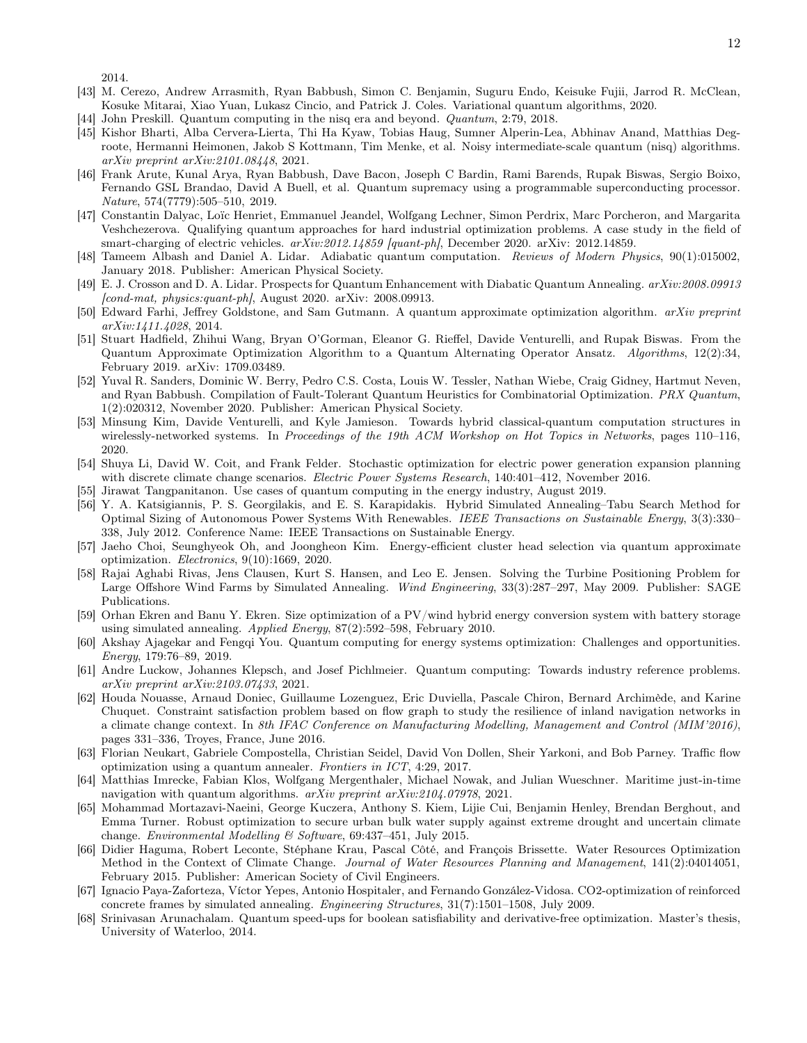2014.

- <span id="page-11-0"></span>[43] M. Cerezo, Andrew Arrasmith, Ryan Babbush, Simon C. Benjamin, Suguru Endo, Keisuke Fujii, Jarrod R. McClean, Kosuke Mitarai, Xiao Yuan, Lukasz Cincio, and Patrick J. Coles. Variational quantum algorithms, 2020.
- <span id="page-11-1"></span>[44] John Preskill. Quantum computing in the nisq era and beyond. Quantum, 2:79, 2018.
- <span id="page-11-2"></span>[45] Kishor Bharti, Alba Cervera-Lierta, Thi Ha Kyaw, Tobias Haug, Sumner Alperin-Lea, Abhinav Anand, Matthias Degroote, Hermanni Heimonen, Jakob S Kottmann, Tim Menke, et al. Noisy intermediate-scale quantum (nisq) algorithms. arXiv preprint arXiv:2101.08448, 2021.
- <span id="page-11-3"></span>[46] Frank Arute, Kunal Arya, Ryan Babbush, Dave Bacon, Joseph C Bardin, Rami Barends, Rupak Biswas, Sergio Boixo, Fernando GSL Brandao, David A Buell, et al. Quantum supremacy using a programmable superconducting processor. Nature, 574(7779):505–510, 2019.
- <span id="page-11-4"></span>[47] Constantin Dalyac, Loïc Henriet, Emmanuel Jeandel, Wolfgang Lechner, Simon Perdrix, Marc Porcheron, and Margarita Veshchezerova. Qualifying quantum approaches for hard industrial optimization problems. A case study in the field of smart-charging of electric vehicles.  $arXiv:2012.14859$  [quant-ph], December 2020. arXiv: 2012.14859.
- <span id="page-11-5"></span>[48] Tameem Albash and Daniel A. Lidar. Adiabatic quantum computation. Reviews of Modern Physics, 90(1):015002, January 2018. Publisher: American Physical Society.
- <span id="page-11-6"></span>[49] E. J. Crosson and D. A. Lidar. Prospects for Quantum Enhancement with Diabatic Quantum Annealing. arXiv:2008.09913  $\lceil \text{cond-mat}, \text{physics:}$  quant-ph $\lceil \text{August 2020.} \text{arXiv: } 2008.09913.$
- <span id="page-11-7"></span>[50] Edward Farhi, Jeffrey Goldstone, and Sam Gutmann. A quantum approximate optimization algorithm. arXiv preprint arXiv:1411.4028, 2014.
- <span id="page-11-8"></span>[51] Stuart Hadfield, Zhihui Wang, Bryan O'Gorman, Eleanor G. Rieffel, Davide Venturelli, and Rupak Biswas. From the Quantum Approximate Optimization Algorithm to a Quantum Alternating Operator Ansatz. Algorithms, 12(2):34, February 2019. arXiv: 1709.03489.
- <span id="page-11-9"></span>[52] Yuval R. Sanders, Dominic W. Berry, Pedro C.S. Costa, Louis W. Tessler, Nathan Wiebe, Craig Gidney, Hartmut Neven, and Ryan Babbush. Compilation of Fault-Tolerant Quantum Heuristics for Combinatorial Optimization. *PRX Quantum*, 1(2):020312, November 2020. Publisher: American Physical Society.
- <span id="page-11-10"></span>[53] Minsung Kim, Davide Venturelli, and Kyle Jamieson. Towards hybrid classical-quantum computation structures in wirelessly-networked systems. In Proceedings of the 19th ACM Workshop on Hot Topics in Networks, pages 110–116, 2020.
- <span id="page-11-11"></span>[54] Shuya Li, David W. Coit, and Frank Felder. Stochastic optimization for electric power generation expansion planning with discrete climate change scenarios. Electric Power Systems Research, 140:401-412, November 2016.
- <span id="page-11-12"></span>[55] Jirawat Tangpanitanon. Use cases of quantum computing in the energy industry, August 2019.
- <span id="page-11-13"></span>[56] Y. A. Katsigiannis, P. S. Georgilakis, and E. S. Karapidakis. Hybrid Simulated Annealing–Tabu Search Method for Optimal Sizing of Autonomous Power Systems With Renewables. IEEE Transactions on Sustainable Energy, 3(3):330– 338, July 2012. Conference Name: IEEE Transactions on Sustainable Energy.
- <span id="page-11-14"></span>[57] Jaeho Choi, Seunghyeok Oh, and Joongheon Kim. Energy-efficient cluster head selection via quantum approximate optimization. Electronics, 9(10):1669, 2020.
- <span id="page-11-15"></span>[58] Rajai Aghabi Rivas, Jens Clausen, Kurt S. Hansen, and Leo E. Jensen. Solving the Turbine Positioning Problem for Large Offshore Wind Farms by Simulated Annealing. Wind Engineering, 33(3):287–297, May 2009. Publisher: SAGE Publications.
- <span id="page-11-16"></span>[59] Orhan Ekren and Banu Y. Ekren. Size optimization of a PV/wind hybrid energy conversion system with battery storage using simulated annealing. Applied Energy, 87(2):592–598, February 2010.
- <span id="page-11-17"></span>[60] Akshay Ajagekar and Fengqi You. Quantum computing for energy systems optimization: Challenges and opportunities. Energy, 179:76–89, 2019.
- <span id="page-11-18"></span>[61] Andre Luckow, Johannes Klepsch, and Josef Pichlmeier. Quantum computing: Towards industry reference problems. arXiv preprint arXiv:2103.07433, 2021.
- <span id="page-11-19"></span>[62] Houda Nouasse, Arnaud Doniec, Guillaume Lozenguez, Eric Duviella, Pascale Chiron, Bernard Archimède, and Karine Chuquet. Constraint satisfaction problem based on flow graph to study the resilience of inland navigation networks in a climate change context. In 8th IFAC Conference on Manufacturing Modelling, Management and Control (MIM'2016), pages 331–336, Troyes, France, June 2016.
- [63] Florian Neukart, Gabriele Compostella, Christian Seidel, David Von Dollen, Sheir Yarkoni, and Bob Parney. Traffic flow optimization using a quantum annealer. Frontiers in ICT, 4:29, 2017.
- <span id="page-11-20"></span>[64] Matthias Imrecke, Fabian Klos, Wolfgang Mergenthaler, Michael Nowak, and Julian Wueschner. Maritime just-in-time navigation with quantum algorithms. arXiv preprint arXiv:2104.07978, 2021.
- <span id="page-11-21"></span>[65] Mohammad Mortazavi-Naeini, George Kuczera, Anthony S. Kiem, Lijie Cui, Benjamin Henley, Brendan Berghout, and Emma Turner. Robust optimization to secure urban bulk water supply against extreme drought and uncertain climate change. Environmental Modelling & Software, 69:437–451, July 2015.
- <span id="page-11-22"></span>[66] Didier Haguma, Robert Leconte, Stéphane Krau, Pascal Côté, and François Brissette. Water Resources Optimization Method in the Context of Climate Change. Journal of Water Resources Planning and Management, 141(2):04014051, February 2015. Publisher: American Society of Civil Engineers.
- <span id="page-11-23"></span>[67] Ignacio Paya-Zaforteza, Víctor Yepes, Antonio Hospitaler, and Fernando González-Vidosa. CO2-optimization of reinforced concrete frames by simulated annealing. Engineering Structures, 31(7):1501–1508, July 2009.
- <span id="page-11-24"></span>[68] Srinivasan Arunachalam. Quantum speed-ups for boolean satisfiability and derivative-free optimization. Master's thesis, University of Waterloo, 2014.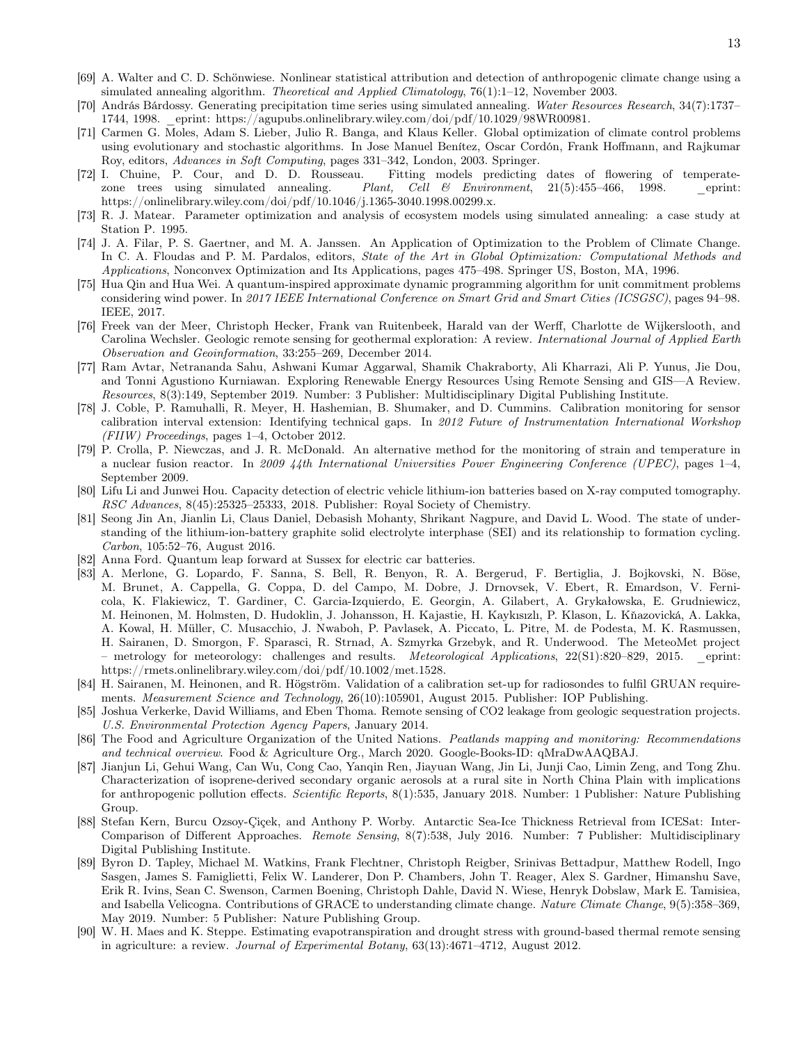- <span id="page-12-0"></span>[69] A. Walter and C. D. Schönwiese. Nonlinear statistical attribution and detection of anthropogenic climate change using a simulated annealing algorithm. Theoretical and Applied Climatology, 76(1):1–12, November 2003.
- <span id="page-12-1"></span>[70] András Bárdossy. Generating precipitation time series using simulated annealing. Water Resources Research, 34(7):1737– 1744, 1998. \_eprint: https://agupubs.onlinelibrary.wiley.com/doi/pdf/10.1029/98WR00981.
- <span id="page-12-2"></span>[71] Carmen G. Moles, Adam S. Lieber, Julio R. Banga, and Klaus Keller. Global optimization of climate control problems using evolutionary and stochastic algorithms. In Jose Manuel Benítez, Oscar Cordón, Frank Hoffmann, and Rajkumar Roy, editors, Advances in Soft Computing, pages 331–342, London, 2003. Springer.
- <span id="page-12-3"></span>[72] I. Chuine, P. Cour, and D. D. Rousseau. Fitting models predicting dates of flowering of temperatezone trees using simulated annealing. Plant, Cell  $\&$  Environment, 21(5):455-466, 1998. eprint: https://onlinelibrary.wiley.com/doi/pdf/10.1046/j.1365-3040.1998.00299.x.
- <span id="page-12-4"></span>[73] R. J. Matear. Parameter optimization and analysis of ecosystem models using simulated annealing: a case study at Station P. 1995.
- <span id="page-12-5"></span>[74] J. A. Filar, P. S. Gaertner, and M. A. Janssen. An Application of Optimization to the Problem of Climate Change. In C. A. Floudas and P. M. Pardalos, editors, *State of the Art in Global Optimization: Computational Methods and* Applications, Nonconvex Optimization and Its Applications, pages 475–498. Springer US, Boston, MA, 1996.
- <span id="page-12-6"></span>[75] Hua Qin and Hua Wei. A quantum-inspired approximate dynamic programming algorithm for unit commitment problems considering wind power. In 2017 IEEE International Conference on Smart Grid and Smart Cities (ICSGSC), pages 94–98. IEEE, 2017.
- <span id="page-12-7"></span>[76] Freek van der Meer, Christoph Hecker, Frank van Ruitenbeek, Harald van der Werff, Charlotte de Wijkerslooth, and Carolina Wechsler. Geologic remote sensing for geothermal exploration: A review. International Journal of Applied Earth Observation and Geoinformation, 33:255–269, December 2014.
- <span id="page-12-8"></span>[77] Ram Avtar, Netrananda Sahu, Ashwani Kumar Aggarwal, Shamik Chakraborty, Ali Kharrazi, Ali P. Yunus, Jie Dou, and Tonni Agustiono Kurniawan. Exploring Renewable Energy Resources Using Remote Sensing and GIS—A Review. Resources, 8(3):149, September 2019. Number: 3 Publisher: Multidisciplinary Digital Publishing Institute.
- <span id="page-12-9"></span>[78] J. Coble, P. Ramuhalli, R. Meyer, H. Hashemian, B. Shumaker, and D. Cummins. Calibration monitoring for sensor calibration interval extension: Identifying technical gaps. In 2012 Future of Instrumentation International Workshop (FIIW) Proceedings, pages 1–4, October 2012.
- <span id="page-12-10"></span>[79] P. Crolla, P. Niewczas, and J. R. McDonald. An alternative method for the monitoring of strain and temperature in a nuclear fusion reactor. In 2009 44th International Universities Power Engineering Conference (UPEC), pages 1–4, September 2009.
- <span id="page-12-11"></span>[80] Lifu Li and Junwei Hou. Capacity detection of electric vehicle lithium-ion batteries based on X-ray computed tomography. RSC Advances, 8(45):25325–25333, 2018. Publisher: Royal Society of Chemistry.
- <span id="page-12-12"></span>[81] Seong Jin An, Jianlin Li, Claus Daniel, Debasish Mohanty, Shrikant Nagpure, and David L. Wood. The state of understanding of the lithium-ion-battery graphite solid electrolyte interphase (SEI) and its relationship to formation cycling. Carbon, 105:52–76, August 2016.
- <span id="page-12-13"></span>[82] Anna Ford. Quantum leap forward at Sussex for electric car batteries.
- <span id="page-12-14"></span>[83] A. Merlone, G. Lopardo, F. Sanna, S. Bell, R. Benyon, R. A. Bergerud, F. Bertiglia, J. Bojkovski, N. Böse, M. Brunet, A. Cappella, G. Coppa, D. del Campo, M. Dobre, J. Drnovsek, V. Ebert, R. Emardson, V. Fernicola, K. Flakiewicz, T. Gardiner, C. Garcia-Izquierdo, E. Georgin, A. Gilabert, A. Grykałowska, E. Grudniewicz, M. Heinonen, M. Holmsten, D. Hudoklin, J. Johansson, H. Kajastie, H. Kaykısızlı, P. Klason, L. Kňazovická, A. Lakka, A. Kowal, H. Müller, C. Musacchio, J. Nwaboh, P. Pavlasek, A. Piccato, L. Pitre, M. de Podesta, M. K. Rasmussen, H. Sairanen, D. Smorgon, F. Sparasci, R. Strnad, A. Szmyrka Grzebyk, and R. Underwood. The MeteoMet project – metrology for meteorology: challenges and results. Meteorological Applications, 22(S1):820–829, 2015. \_eprint: https://rmets.onlinelibrary.wiley.com/doi/pdf/10.1002/met.1528.
- [84] H. Sairanen, M. Heinonen, and R. Högström. Validation of a calibration set-up for radiosondes to fulfil GRUAN requirements. Measurement Science and Technology, 26(10):105901, August 2015. Publisher: IOP Publishing.
- <span id="page-12-15"></span>[85] Joshua Verkerke, David Williams, and Eben Thoma. Remote sensing of CO2 leakage from geologic sequestration projects. U.S. Environmental Protection Agency Papers, January 2014.
- <span id="page-12-16"></span>[86] The Food and Agriculture Organization of the United Nations. Peatlands mapping and monitoring: Recommendations and technical overview. Food & Agriculture Org., March 2020. Google-Books-ID: qMraDwAAQBAJ.
- <span id="page-12-17"></span>[87] Jianjun Li, Gehui Wang, Can Wu, Cong Cao, Yanqin Ren, Jiayuan Wang, Jin Li, Junji Cao, Limin Zeng, and Tong Zhu. Characterization of isoprene-derived secondary organic aerosols at a rural site in North China Plain with implications for anthropogenic pollution effects. Scientific Reports, 8(1):535, January 2018. Number: 1 Publisher: Nature Publishing Group.
- <span id="page-12-18"></span>[88] Stefan Kern, Burcu Ozsoy-Çiçek, and Anthony P. Worby. Antarctic Sea-Ice Thickness Retrieval from ICESat: Inter-Comparison of Different Approaches. Remote Sensing, 8(7):538, July 2016. Number: 7 Publisher: Multidisciplinary Digital Publishing Institute.
- <span id="page-12-19"></span>[89] Byron D. Tapley, Michael M. Watkins, Frank Flechtner, Christoph Reigber, Srinivas Bettadpur, Matthew Rodell, Ingo Sasgen, James S. Famiglietti, Felix W. Landerer, Don P. Chambers, John T. Reager, Alex S. Gardner, Himanshu Save, Erik R. Ivins, Sean C. Swenson, Carmen Boening, Christoph Dahle, David N. Wiese, Henryk Dobslaw, Mark E. Tamisiea, and Isabella Velicogna. Contributions of GRACE to understanding climate change. Nature Climate Change, 9(5):358–369, May 2019. Number: 5 Publisher: Nature Publishing Group.
- <span id="page-12-20"></span>[90] W. H. Maes and K. Steppe. Estimating evapotranspiration and drought stress with ground-based thermal remote sensing in agriculture: a review. Journal of Experimental Botany, 63(13):4671–4712, August 2012.